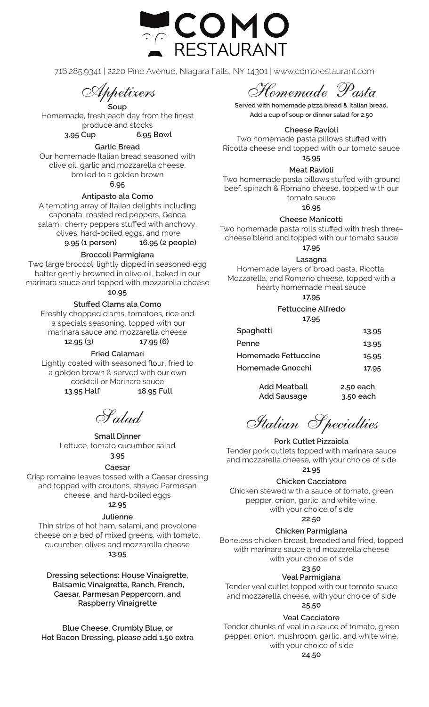

716.285.9341 | 2220 Pine Avenue, Niagara Falls, NY 14301 | www.comorestaurant.com

Appetizers

**Soup** Homemade, fresh each day from the finest produce and stocks **3.95 Cup 6.95 Bowl**

**Garlic Bread**

Our homemade Italian bread seasoned with olive oil, garlic and mozzarella cheese, broiled to a golden brown

**6.95**

**Antipasto ala Como**

A tempting array of Italian delights including caponata, roasted red peppers, Genoa salami, cherry peppers stuffed with anchovy, olives, hard-boiled eggs, and more **9.95 (1 person) 16.95 (2 people)**

**Broccoli Parmigiana**

Two large broccoli lightly dipped in seasoned egg batter gently browned in olive oil, baked in our marinara sauce and topped with mozzarella cheese

**10.95**

### **Stuffed Clams ala Como**

Freshly chopped clams, tomatoes, rice and a specials seasoning, topped with our marinara sauce and mozzarella cheese **12.95 (3) 17.95 (6)**

**Fried Calamari**

Lightly coated with seasoned flour, fried to a golden brown & served with our own cocktail or Marinara sauce **13.95 Half 18.95 Full**

Salad

**Small Dinner** Lettuce, tomato cucumber salad **3.95**

# **Caesar**

Crisp romaine leaves tossed with a Caesar dressing and topped with croutons, shaved Parmesan cheese, and hard-boiled eggs **12.95**

# **Julienne**

Thin strips of hot ham, salami, and provolone cheese on a bed of mixed greens, with tomato, cucumber, olives and mozzarella cheese **13.95**

**Dressing selections: House Vinaigrette, Balsamic Vinaigrette, Ranch, French, Caesar, Parmesan Peppercorn, and Raspberry Vinaigrette**

**Blue Cheese, Crumbly Blue, or Hot Bacon Dressing, please add 1.50 extra**

Homemade Pasta

**Served with homemade pizza bread & Italian bread. Add a cup of soup or dinner salad for 2.50**

#### **Cheese Ravioli**

Two homemade pasta pillows stuffed with Ricotta cheese and topped with our tomato sauce

**15.95**

**Meat Ravioli** 

Two homemade pasta pillows stuffed with ground beef, spinach & Romano cheese, topped with our tomato sauce

**16.95**

### **Cheese Manicotti**

Two homemade pasta rolls stuffed with fresh threecheese blend and topped with our tomato sauce **17.95**

**Lasagna**

Homemade layers of broad pasta, Ricotta, Mozzarella, and Romano cheese, topped with a hearty homemade meat sauce

**17.95**

#### **Fettuccine Alfredo 17.95**

| Spaghetti                  | 13.95     |
|----------------------------|-----------|
| Penne                      | 13.95     |
| <b>Homemade Fettuccine</b> | 15.95     |
| Homemade Gnocchi           | 17.95     |
| <b>Add Meatball</b>        | 2.50 each |
| <b>Add Sausage</b>         | 3.50 each |

Italian Specialties

# **Pork Cutlet Pizzaiola**

Tender pork cutlets topped with marinara sauce and mozzarella cheese, with your choice of side **21.95** 

# **Chicken Cacciatore**

Chicken stewed with a sauce of tomato, green pepper, onion, garlic, and white wine, with your choice of side **22.50**

# **Chicken Parmigiana**

Boneless chicken breast, breaded and fried, topped with marinara sauce and mozzarella cheese with your choice of side

# **23.50**

# **Veal Parmigiana**

Tender veal cutlet topped with our tomato sauce and mozzarella cheese, with your choice of side

# **25.50**

# **Veal Cacciatore**

Tender chunks of veal in a sauce of tomato, green pepper, onion, mushroom, garlic, and white wine, with your choice of side

**24.50**